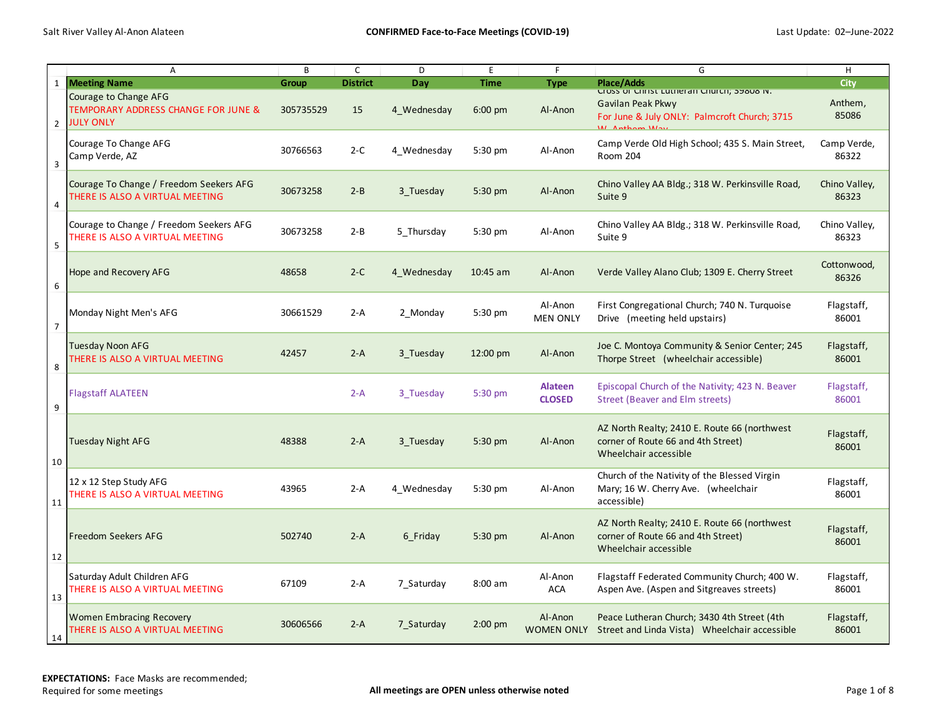|                | A                                                                                | B         | C               | D           | E           | F                          | G                                                                                                              | H                      |
|----------------|----------------------------------------------------------------------------------|-----------|-----------------|-------------|-------------|----------------------------|----------------------------------------------------------------------------------------------------------------|------------------------|
| $\mathbf{1}$   | <b>Meeting Name</b>                                                              | Group     | <b>District</b> | Day         | <b>Time</b> | <b>Type</b>                | <b>Place/Adds</b>                                                                                              | City                   |
| $\overline{2}$ | Courage to Change AFG<br>TEMPORARY ADDRESS CHANGE FOR JUNE &<br><b>JULY ONLY</b> | 305735529 | 15              | 4 Wednesday | $6:00$ pm   | Al-Anon                    | Cross or Christ Lutneran Church; 39808 N.<br>Gavilan Peak Pkwy<br>For June & July ONLY: Palmcroft Church; 3715 | Anthem,<br>85086       |
| $\mathbf{3}$   | Courage To Change AFG<br>Camp Verde, AZ                                          | 30766563  | $2-C$           | 4 Wednesday | 5:30 pm     | Al-Anon                    | Camp Verde Old High School; 435 S. Main Street,<br>Room 204                                                    | Camp Verde,<br>86322   |
| $\overline{a}$ | Courage To Change / Freedom Seekers AFG<br>THERE IS ALSO A VIRTUAL MEETING       | 30673258  | $2 - B$         | 3 Tuesday   | 5:30 pm     | Al-Anon                    | Chino Valley AA Bldg.; 318 W. Perkinsville Road,<br>Suite 9                                                    | Chino Valley,<br>86323 |
| 5              | Courage to Change / Freedom Seekers AFG<br>THERE IS ALSO A VIRTUAL MEETING       | 30673258  | $2 - B$         | 5 Thursday  | 5:30 pm     | Al-Anon                    | Chino Valley AA Bldg.; 318 W. Perkinsville Road,<br>Suite 9                                                    | Chino Valley,<br>86323 |
| 6              | <b>Hope and Recovery AFG</b>                                                     | 48658     | $2-C$           | 4 Wednesday | $10:45$ am  | Al-Anon                    | Verde Valley Alano Club; 1309 E. Cherry Street                                                                 | Cottonwood,<br>86326   |
| $\overline{7}$ | Monday Night Men's AFG                                                           | 30661529  | $2-A$           | 2 Monday    | 5:30 pm     | Al-Anon<br><b>MEN ONLY</b> | First Congregational Church; 740 N. Turquoise<br>Drive (meeting held upstairs)                                 | Flagstaff,<br>86001    |
| 8              | <b>Tuesday Noon AFG</b><br>THERE IS ALSO A VIRTUAL MEETING                       | 42457     | $2-A$           | 3 Tuesday   | 12:00 pm    | Al-Anon                    | Joe C. Montoya Community & Senior Center; 245<br>Thorpe Street (wheelchair accessible)                         | Flagstaff,<br>86001    |
| 9              | <b>Flagstaff ALATEEN</b>                                                         |           | $2-A$           | 3 Tuesday   | 5:30 pm     | Alateen<br><b>CLOSED</b>   | Episcopal Church of the Nativity; 423 N. Beaver<br>Street (Beaver and Elm streets)                             | Flagstaff,<br>86001    |
| 10             | Tuesday Night AFG                                                                | 48388     | $2-A$           | 3 Tuesday   | 5:30 pm     | Al-Anon                    | AZ North Realty; 2410 E. Route 66 (northwest<br>corner of Route 66 and 4th Street)<br>Wheelchair accessible    | Flagstaff,<br>86001    |
| 11             | 12 x 12 Step Study AFG<br>THERE IS ALSO A VIRTUAL MEETING                        | 43965     | $2-A$           | 4 Wednesday | 5:30 pm     | Al-Anon                    | Church of the Nativity of the Blessed Virgin<br>Mary; 16 W. Cherry Ave. (wheelchair<br>accessible)             | Flagstaff,<br>86001    |
| 12             | <b>Freedom Seekers AFG</b>                                                       | 502740    | $2-A$           | 6 Friday    | 5:30 pm     | Al-Anon                    | AZ North Realty; 2410 E. Route 66 (northwest<br>corner of Route 66 and 4th Street)<br>Wheelchair accessible    | Flagstaff,<br>86001    |
| 13             | Saturday Adult Children AFG<br>THERE IS ALSO A VIRTUAL MEETING                   | 67109     | 2-A             | 7 Saturday  | $8:00$ am   | Al-Anon<br><b>ACA</b>      | Flagstaff Federated Community Church; 400 W.<br>Aspen Ave. (Aspen and Sitgreaves streets)                      | Flagstaff,<br>86001    |
| 14             | <b>Women Embracing Recovery</b><br>THERE IS ALSO A VIRTUAL MEETING               | 30606566  | $2-A$           | 7 Saturday  | $2:00$ pm   | Al-Anon<br>WOMEN ONLY      | Peace Lutheran Church; 3430 4th Street (4th<br>Street and Linda Vista) Wheelchair accessible                   | Flagstaff,<br>86001    |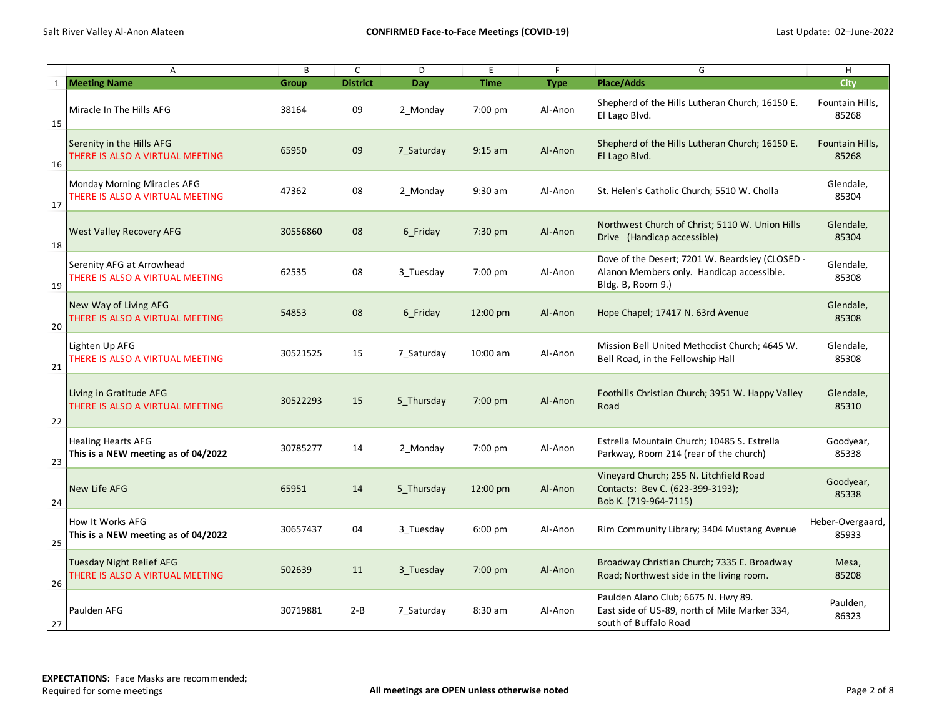|    | Α                                                                     | B        | $\mathsf{C}$    | D          | E           | F.          | G                                                                                                                 | H                         |
|----|-----------------------------------------------------------------------|----------|-----------------|------------|-------------|-------------|-------------------------------------------------------------------------------------------------------------------|---------------------------|
|    | 1 Meeting Name                                                        | Group    | <b>District</b> | Dav        | <b>Time</b> | <b>Type</b> | <b>Place/Adds</b>                                                                                                 | City                      |
| 15 | Miracle In The Hills AFG                                              | 38164    | 09              | 2 Monday   | 7:00 pm     | Al-Anon     | Shepherd of the Hills Lutheran Church; 16150 E.<br>El Lago Blvd.                                                  | Fountain Hills,<br>85268  |
| 16 | Serenity in the Hills AFG<br>THERE IS ALSO A VIRTUAL MEETING          | 65950    | 09              | 7 Saturday | $9:15$ am   | Al-Anon     | Shepherd of the Hills Lutheran Church; 16150 E.<br>El Lago Blvd.                                                  | Fountain Hills,<br>85268  |
| 17 | <b>Monday Morning Miracles AFG</b><br>THERE IS ALSO A VIRTUAL MEETING | 47362    | 08              | 2 Monday   | 9:30 am     | Al-Anon     | St. Helen's Catholic Church; 5510 W. Cholla                                                                       | Glendale,<br>85304        |
| 18 | <b>West Valley Recovery AFG</b>                                       | 30556860 | 08              | 6 Friday   | $7:30$ pm   | Al-Anon     | Northwest Church of Christ; 5110 W. Union Hills<br>Drive (Handicap accessible)                                    | Glendale,<br>85304        |
| 19 | Serenity AFG at Arrowhead<br>THERE IS ALSO A VIRTUAL MEETING          | 62535    | 08              | 3 Tuesday  | 7:00 pm     | Al-Anon     | Dove of the Desert; 7201 W. Beardsley (CLOSED -<br>Alanon Members only. Handicap accessible.<br>Bldg. B, Room 9.) | Glendale,<br>85308        |
| 20 | New Way of Living AFG<br>THERE IS ALSO A VIRTUAL MEETING              | 54853    | 08              | 6 Friday   | 12:00 pm    | Al-Anon     | Hope Chapel; 17417 N. 63rd Avenue                                                                                 | Glendale,<br>85308        |
| 21 | Lighten Up AFG<br>THERE IS ALSO A VIRTUAL MEETING                     | 30521525 | 15              | 7 Saturday | $10:00$ am  | Al-Anon     | Mission Bell United Methodist Church; 4645 W.<br>Bell Road, in the Fellowship Hall                                | Glendale,<br>85308        |
| 22 | Living in Gratitude AFG<br>THERE IS ALSO A VIRTUAL MEETING            | 30522293 | 15              | 5 Thursday | 7:00 pm     | Al-Anon     | Foothills Christian Church; 3951 W. Happy Valley<br>Road                                                          | Glendale,<br>85310        |
| 23 | <b>Healing Hearts AFG</b><br>This is a NEW meeting as of 04/2022      | 30785277 | 14              | 2 Monday   | 7:00 pm     | Al-Anon     | Estrella Mountain Church; 10485 S. Estrella<br>Parkway, Room 214 (rear of the church)                             | Goodyear,<br>85338        |
| 24 | New Life AFG                                                          | 65951    | 14              | 5 Thursday | 12:00 pm    | Al-Anon     | Vineyard Church; 255 N. Litchfield Road<br>Contacts: Bev C. (623-399-3193);<br>Bob K. (719-964-7115)              | Goodyear,<br>85338        |
| 25 | How It Works AFG<br>This is a NEW meeting as of 04/2022               | 30657437 | 04              | 3 Tuesday  | $6:00$ pm   | Al-Anon     | Rim Community Library; 3404 Mustang Avenue                                                                        | Heber-Overgaard,<br>85933 |
| 26 | Tuesday Night Relief AFG<br>THERE IS ALSO A VIRTUAL MEETING           | 502639   | 11              | 3 Tuesday  | 7:00 pm     | Al-Anon     | Broadway Christian Church; 7335 E. Broadway<br>Road; Northwest side in the living room.                           | Mesa,<br>85208            |
| 27 | Paulden AFG                                                           | 30719881 | $2 - B$         | 7 Saturday | 8:30 am     | Al-Anon     | Paulden Alano Club; 6675 N. Hwy 89.<br>East side of US-89, north of Mile Marker 334,<br>south of Buffalo Road     | Paulden,<br>86323         |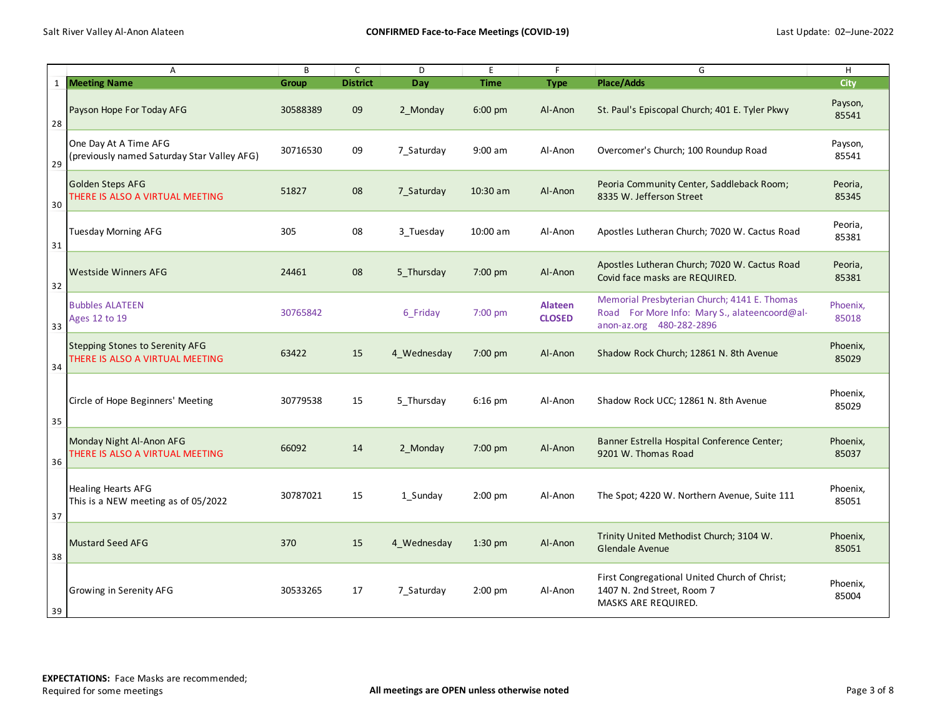|    | Α                                                                         | B        | $\mathsf{C}$    | D           | E           | F                               | G                                                                                                                         | H                 |
|----|---------------------------------------------------------------------------|----------|-----------------|-------------|-------------|---------------------------------|---------------------------------------------------------------------------------------------------------------------------|-------------------|
|    | 1 Meeting Name                                                            | Group    | <b>District</b> | <b>Day</b>  | <b>Time</b> | <b>Type</b>                     | <b>Place/Adds</b>                                                                                                         | City              |
| 28 | Payson Hope For Today AFG                                                 | 30588389 | 09              | 2 Monday    | $6:00$ pm   | Al-Anon                         | St. Paul's Episcopal Church; 401 E. Tyler Pkwy                                                                            | Payson,<br>85541  |
| 29 | One Day At A Time AFG<br>(previously named Saturday Star Valley AFG)      | 30716530 | 09              | 7 Saturday  | $9:00$ am   | Al-Anon                         | Overcomer's Church; 100 Roundup Road                                                                                      | Payson,<br>85541  |
| 30 | Golden Steps AFG<br>THERE IS ALSO A VIRTUAL MEETING                       | 51827    | 08              | 7 Saturday  | $10:30$ am  | Al-Anon                         | Peoria Community Center, Saddleback Room;<br>8335 W. Jefferson Street                                                     | Peoria,<br>85345  |
| 31 | <b>Tuesday Morning AFG</b>                                                | 305      | 08              | 3 Tuesday   | 10:00 am    | Al-Anon                         | Apostles Lutheran Church; 7020 W. Cactus Road                                                                             | Peoria,<br>85381  |
| 32 | <b>Westside Winners AFG</b>                                               | 24461    | 08              | 5 Thursday  | 7:00 pm     | Al-Anon                         | Apostles Lutheran Church; 7020 W. Cactus Road<br>Covid face masks are REQUIRED.                                           | Peoria,<br>85381  |
| 33 | <b>Bubbles ALATEEN</b><br>Ages 12 to 19                                   | 30765842 |                 | 6 Friday    | 7:00 pm     | <b>Alateen</b><br><b>CLOSED</b> | Memorial Presbyterian Church; 4141 E. Thomas<br>Road For More Info: Mary S., alateencoord@al-<br>anon-az.org 480-282-2896 | Phoenix,<br>85018 |
| 34 | <b>Stepping Stones to Serenity AFG</b><br>THERE IS ALSO A VIRTUAL MEETING | 63422    | 15              | 4 Wednesday | 7:00 pm     | Al-Anon                         | Shadow Rock Church; 12861 N. 8th Avenue                                                                                   | Phoenix,<br>85029 |
| 35 | Circle of Hope Beginners' Meeting                                         | 30779538 | 15              | 5 Thursday  | $6:16$ pm   | Al-Anon                         | Shadow Rock UCC; 12861 N. 8th Avenue                                                                                      | Phoenix,<br>85029 |
| 36 | Monday Night Al-Anon AFG<br>THERE IS ALSO A VIRTUAL MEETING               | 66092    | 14              | 2 Monday    | 7:00 pm     | Al-Anon                         | Banner Estrella Hospital Conference Center;<br>9201 W. Thomas Road                                                        | Phoenix,<br>85037 |
| 37 | <b>Healing Hearts AFG</b><br>This is a NEW meeting as of 05/2022          | 30787021 | 15              | 1 Sunday    | $2:00$ pm   | Al-Anon                         | The Spot; 4220 W. Northern Avenue, Suite 111                                                                              | Phoenix,<br>85051 |
| 38 | <b>Mustard Seed AFG</b>                                                   | 370      | 15              | 4 Wednesday | $1:30$ pm   | Al-Anon                         | Trinity United Methodist Church; 3104 W.<br><b>Glendale Avenue</b>                                                        | Phoenix,<br>85051 |
| 39 | Growing in Serenity AFG                                                   | 30533265 | 17              | 7_Saturday  | $2:00$ pm   | Al-Anon                         | First Congregational United Church of Christ;<br>1407 N. 2nd Street, Room 7<br>MASKS ARE REQUIRED.                        | Phoenix,<br>85004 |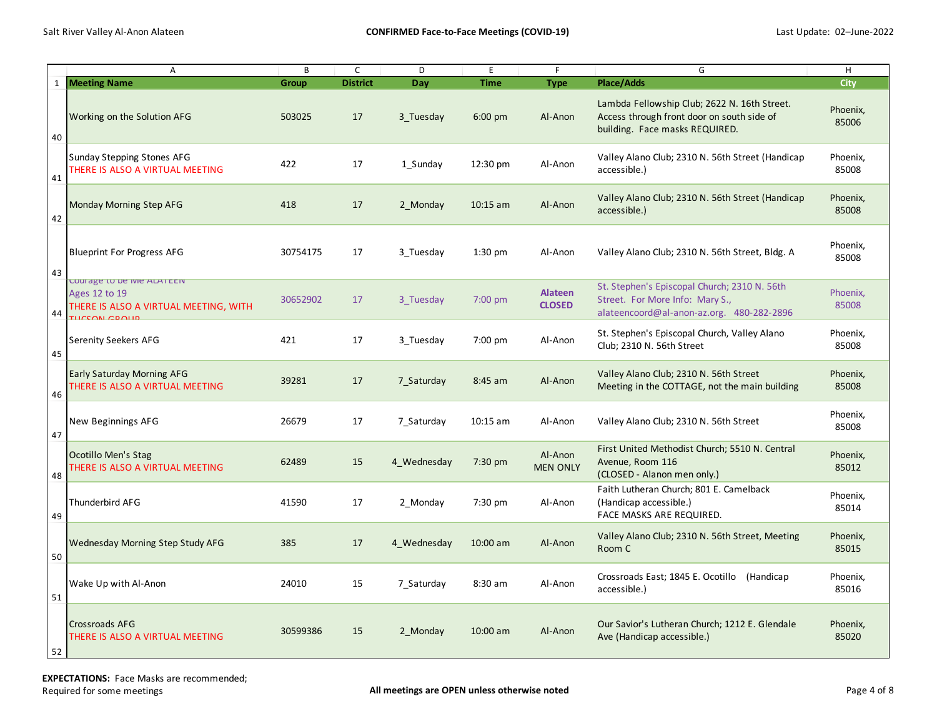|              | Α                                                                                                      | B            | C               | D           | E           | F.                         | G                                                                                                                            | H                 |
|--------------|--------------------------------------------------------------------------------------------------------|--------------|-----------------|-------------|-------------|----------------------------|------------------------------------------------------------------------------------------------------------------------------|-------------------|
| $\mathbf{1}$ | <b>Meeting Name</b>                                                                                    | <b>Group</b> | <b>District</b> | Day         | <b>Time</b> | <b>Type</b>                | <b>Place/Adds</b>                                                                                                            | City              |
| 40           | Working on the Solution AFG                                                                            | 503025       | 17              | 3 Tuesday   | $6:00$ pm   | Al-Anon                    | Lambda Fellowship Club; 2622 N. 16th Street.<br>Access through front door on south side of<br>building. Face masks REQUIRED. | Phoenix,<br>85006 |
| 41           | Sunday Stepping Stones AFG<br>THERE IS ALSO A VIRTUAL MEETING                                          | 422          | 17              | 1 Sunday    | 12:30 pm    | Al-Anon                    | Valley Alano Club; 2310 N. 56th Street (Handicap<br>accessible.)                                                             | Phoenix,<br>85008 |
| 42           | Monday Morning Step AFG                                                                                | 418          | 17              | 2 Monday    | $10:15$ am  | Al-Anon                    | Valley Alano Club; 2310 N. 56th Street (Handicap<br>accessible.)                                                             | Phoenix,<br>85008 |
| 43           | <b>Blueprint For Progress AFG</b>                                                                      | 30754175     | 17              | 3 Tuesday   | $1:30$ pm   | Al-Anon                    | Valley Alano Club; 2310 N. 56th Street, Bldg. A                                                                              | Phoenix,<br>85008 |
| 44           | Courage to be ivie ALATEEIV<br>Ages 12 to 19<br>THERE IS ALSO A VIRTUAL MEETING, WITH<br>THICCON CROHN | 30652902     | 17              | 3 Tuesday   | 7:00 pm     | Alateen<br><b>CLOSED</b>   | St. Stephen's Episcopal Church; 2310 N. 56th<br>Street. For More Info: Mary S.,<br>alateencoord@al-anon-az.org. 480-282-2896 | Phoenix,<br>85008 |
| 45           | <b>Serenity Seekers AFG</b>                                                                            | 421          | 17              | 3 Tuesday   | 7:00 pm     | Al-Anon                    | St. Stephen's Episcopal Church, Valley Alano<br>Club; 2310 N. 56th Street                                                    | Phoenix,<br>85008 |
| 46           | <b>Early Saturday Morning AFG</b><br>THERE IS ALSO A VIRTUAL MEETING                                   | 39281        | 17              | 7 Saturday  | 8:45 am     | Al-Anon                    | Valley Alano Club; 2310 N. 56th Street<br>Meeting in the COTTAGE, not the main building                                      | Phoenix,<br>85008 |
| 47           | New Beginnings AFG                                                                                     | 26679        | 17              | 7 Saturday  | $10:15$ am  | Al-Anon                    | Valley Alano Club; 2310 N. 56th Street                                                                                       | Phoenix,<br>85008 |
| 48           | Ocotillo Men's Stag<br>THERE IS ALSO A VIRTUAL MEETING                                                 | 62489        | 15              | 4 Wednesday | $7:30$ pm   | Al-Anon<br><b>MEN ONLY</b> | First United Methodist Church; 5510 N. Central<br>Avenue, Room 116<br>(CLOSED - Alanon men only.)                            | Phoenix,<br>85012 |
| 49           | Thunderbird AFG                                                                                        | 41590        | 17              | 2 Monday    | 7:30 pm     | Al-Anon                    | Faith Lutheran Church; 801 E. Camelback<br>(Handicap accessible.)<br>FACE MASKS ARE REQUIRED.                                | Phoenix,<br>85014 |
| 50           | <b>Wednesday Morning Step Study AFG</b>                                                                | 385          | 17              | 4 Wednesday | 10:00 am    | Al-Anon                    | Valley Alano Club; 2310 N. 56th Street, Meeting<br>Room C                                                                    | Phoenix,<br>85015 |
| 51           | Wake Up with Al-Anon                                                                                   | 24010        | 15              | 7 Saturday  | 8:30 am     | Al-Anon                    | Crossroads East; 1845 E. Ocotillo (Handicap<br>accessible.)                                                                  | Phoenix,<br>85016 |
| 52           | <b>Crossroads AFG</b><br>THERE IS ALSO A VIRTUAL MEETING                                               | 30599386     | 15              | 2 Monday    | $10:00$ am  | Al-Anon                    | Our Savior's Lutheran Church; 1212 E. Glendale<br>Ave (Handicap accessible.)                                                 | Phoenix,<br>85020 |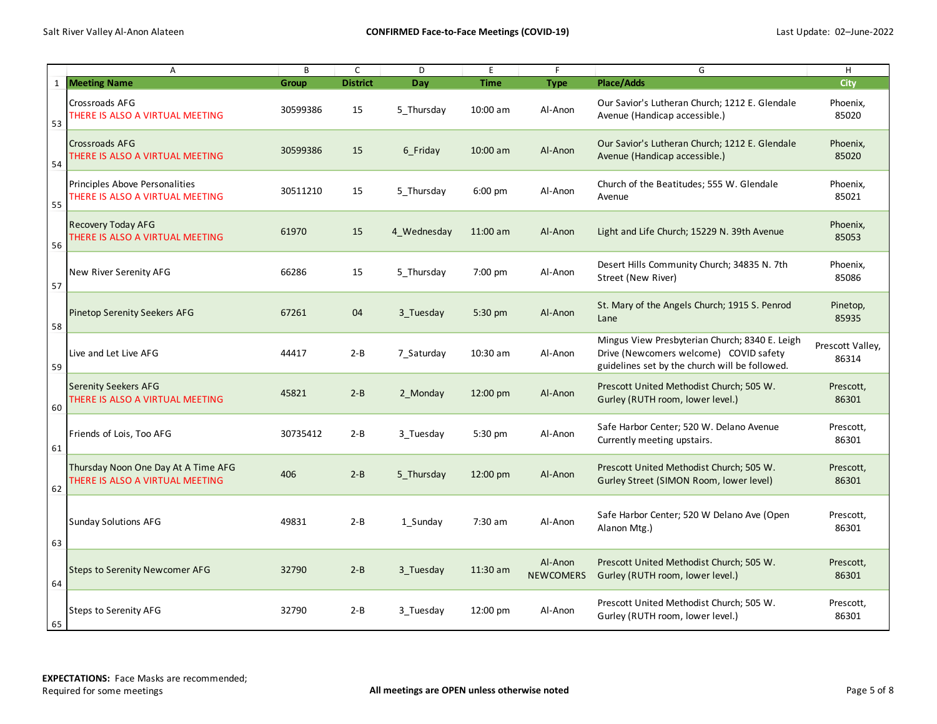|              | A                                                                      | B        | $\mathsf{C}$    | D           | E                 | F                           | G                                                                                                                                          | H                         |
|--------------|------------------------------------------------------------------------|----------|-----------------|-------------|-------------------|-----------------------------|--------------------------------------------------------------------------------------------------------------------------------------------|---------------------------|
| $\mathbf{1}$ | <b>Meeting Name</b>                                                    | Group    | <b>District</b> | Day         | <b>Time</b>       | <b>Type</b>                 | <b>Place/Adds</b>                                                                                                                          | City                      |
| 53           | <b>Crossroads AFG</b><br>THERE IS ALSO A VIRTUAL MEETING               | 30599386 | 15              | 5 Thursday  | 10:00 am          | Al-Anon                     | Our Savior's Lutheran Church; 1212 E. Glendale<br>Avenue (Handicap accessible.)                                                            | Phoenix,<br>85020         |
| 54           | <b>Crossroads AFG</b><br>THERE IS ALSO A VIRTUAL MEETING               | 30599386 | 15              | 6 Friday    | 10:00 am          | Al-Anon                     | Our Savior's Lutheran Church; 1212 E. Glendale<br>Avenue (Handicap accessible.)                                                            | Phoenix,<br>85020         |
| 55           | Principles Above Personalities<br>THERE IS ALSO A VIRTUAL MEETING      | 30511210 | 15              | 5 Thursday  | $6:00 \text{ pm}$ | Al-Anon                     | Church of the Beatitudes; 555 W. Glendale<br>Avenue                                                                                        | Phoenix,<br>85021         |
| 56           | <b>Recovery Today AFG</b><br>THERE IS ALSO A VIRTUAL MEETING           | 61970    | 15              | 4 Wednesday | $11:00$ am        | Al-Anon                     | Light and Life Church; 15229 N. 39th Avenue                                                                                                | Phoenix,<br>85053         |
| 57           | New River Serenity AFG                                                 | 66286    | 15              | 5 Thursday  | 7:00 pm           | Al-Anon                     | Desert Hills Community Church; 34835 N. 7th<br>Street (New River)                                                                          | Phoenix,<br>85086         |
| 58           | <b>Pinetop Serenity Seekers AFG</b>                                    | 67261    | 04              | 3 Tuesday   | 5:30 pm           | Al-Anon                     | St. Mary of the Angels Church; 1915 S. Penrod<br>Lane                                                                                      | Pinetop,<br>85935         |
| 59           | Live and Let Live AFG                                                  | 44417    | $2 - B$         | 7 Saturday  | 10:30 am          | Al-Anon                     | Mingus View Presbyterian Church; 8340 E. Leigh<br>Drive (Newcomers welcome) COVID safety<br>guidelines set by the church will be followed. | Prescott Valley,<br>86314 |
| 60           | <b>Serenity Seekers AFG</b><br>THERE IS ALSO A VIRTUAL MEETING         | 45821    | $2 - B$         | 2 Monday    | 12:00 pm          | Al-Anon                     | Prescott United Methodist Church; 505 W.<br>Gurley (RUTH room, lower level.)                                                               | Prescott,<br>86301        |
| 61           | Friends of Lois, Too AFG                                               | 30735412 | $2 - B$         | 3 Tuesday   | 5:30 pm           | Al-Anon                     | Safe Harbor Center; 520 W. Delano Avenue<br>Currently meeting upstairs.                                                                    | Prescott,<br>86301        |
| 62           | Thursday Noon One Day At A Time AFG<br>THERE IS ALSO A VIRTUAL MEETING | 406      | $2 - B$         | 5 Thursday  | 12:00 pm          | Al-Anon                     | Prescott United Methodist Church; 505 W.<br>Gurley Street (SIMON Room, lower level)                                                        | Prescott,<br>86301        |
| 63           | Sunday Solutions AFG                                                   | 49831    | $2 - B$         | 1 Sunday    | 7:30 am           | Al-Anon                     | Safe Harbor Center; 520 W Delano Ave (Open<br>Alanon Mtg.)                                                                                 | Prescott,<br>86301        |
| 64           | <b>Steps to Serenity Newcomer AFG</b>                                  | 32790    | $2 - B$         | 3 Tuesday   | 11:30 am          | Al-Anon<br><b>NEWCOMERS</b> | Prescott United Methodist Church; 505 W.<br>Gurley (RUTH room, lower level.)                                                               | Prescott,<br>86301        |
| 65           | <b>Steps to Serenity AFG</b>                                           | 32790    | $2 - B$         | 3 Tuesday   | 12:00 pm          | Al-Anon                     | Prescott United Methodist Church; 505 W.<br>Gurley (RUTH room, lower level.)                                                               | Prescott,<br>86301        |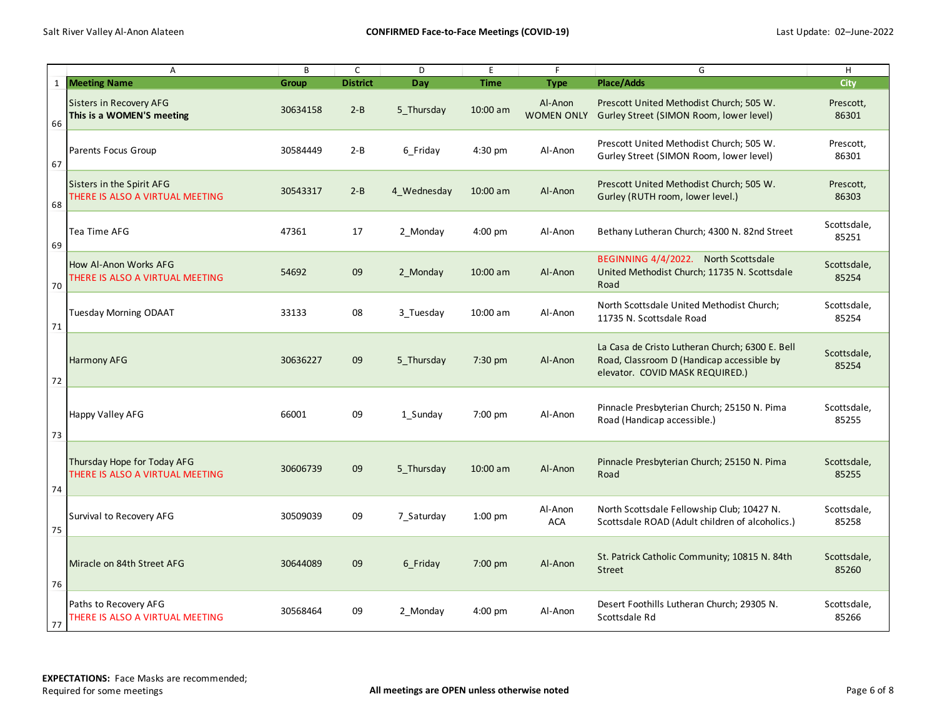|              | $\overline{A}$                                                 | B            | $\mathsf{C}$    | D           | E           | F                            | G                                                                                                                               | H                    |
|--------------|----------------------------------------------------------------|--------------|-----------------|-------------|-------------|------------------------------|---------------------------------------------------------------------------------------------------------------------------------|----------------------|
| $\mathbf{1}$ | <b>Meeting Name</b>                                            | <b>Group</b> | <b>District</b> | Day         | <b>Time</b> | <b>Type</b>                  | Place/Adds                                                                                                                      | <b>City</b>          |
| 66           | Sisters in Recovery AFG<br>This is a WOMEN'S meeting           | 30634158     | $2 - B$         | 5 Thursday  | 10:00 am    | Al-Anon<br><b>WOMEN ONLY</b> | Prescott United Methodist Church; 505 W.<br>Gurley Street (SIMON Room, lower level)                                             | Prescott,<br>86301   |
| 67           | Parents Focus Group                                            | 30584449     | $2 - B$         | 6 Friday    | 4:30 pm     | Al-Anon                      | Prescott United Methodist Church; 505 W.<br>Gurley Street (SIMON Room, lower level)                                             | Prescott,<br>86301   |
| 68           | Sisters in the Spirit AFG<br>THERE IS ALSO A VIRTUAL MEETING   | 30543317     | $2 - B$         | 4 Wednesday | $10:00$ am  | Al-Anon                      | Prescott United Methodist Church; 505 W.<br>Gurley (RUTH room, lower level.)                                                    | Prescott,<br>86303   |
| 69           | Tea Time AFG                                                   | 47361        | 17              | 2 Monday    | $4:00$ pm   | Al-Anon                      | Bethany Lutheran Church; 4300 N. 82nd Street                                                                                    | Scottsdale,<br>85251 |
| 70           | How Al-Anon Works AFG<br>THERE IS ALSO A VIRTUAL MEETING       | 54692        | 09              | 2 Monday    | $10:00$ am  | Al-Anon                      | BEGINNING 4/4/2022. North Scottsdale<br>United Methodist Church; 11735 N. Scottsdale<br>Road                                    | Scottsdale,<br>85254 |
| 71           | <b>Tuesday Morning ODAAT</b>                                   | 33133        | 08              | 3 Tuesday   | 10:00 am    | Al-Anon                      | North Scottsdale United Methodist Church;<br>11735 N. Scottsdale Road                                                           | Scottsdale,<br>85254 |
| 72           | Harmony AFG                                                    | 30636227     | 09              | 5 Thursday  | 7:30 pm     | Al-Anon                      | La Casa de Cristo Lutheran Church; 6300 E. Bell<br>Road, Classroom D (Handicap accessible by<br>elevator. COVID MASK REQUIRED.) | Scottsdale,<br>85254 |
| 73           | Happy Valley AFG                                               | 66001        | 09              | 1 Sunday    | 7:00 pm     | Al-Anon                      | Pinnacle Presbyterian Church; 25150 N. Pima<br>Road (Handicap accessible.)                                                      | Scottsdale,<br>85255 |
| 74           | Thursday Hope for Today AFG<br>THERE IS ALSO A VIRTUAL MEETING | 30606739     | 09              | 5 Thursday  | $10:00$ am  | Al-Anon                      | Pinnacle Presbyterian Church; 25150 N. Pima<br>Road                                                                             | Scottsdale,<br>85255 |
| 75           | Survival to Recovery AFG                                       | 30509039     | 09              | 7 Saturday  | $1:00$ pm   | Al-Anon<br><b>ACA</b>        | North Scottsdale Fellowship Club; 10427 N.<br>Scottsdale ROAD (Adult children of alcoholics.)                                   | Scottsdale,<br>85258 |
| 76           | Miracle on 84th Street AFG                                     | 30644089     | 09              | 6 Friday    | $7:00$ pm   | Al-Anon                      | St. Patrick Catholic Community; 10815 N. 84th<br><b>Street</b>                                                                  | Scottsdale,<br>85260 |
| 77           | Paths to Recovery AFG<br>THERE IS ALSO A VIRTUAL MEETING       | 30568464     | 09              | 2 Monday    | 4:00 pm     | Al-Anon                      | Desert Foothills Lutheran Church; 29305 N.<br>Scottsdale Rd                                                                     | Scottsdale,<br>85266 |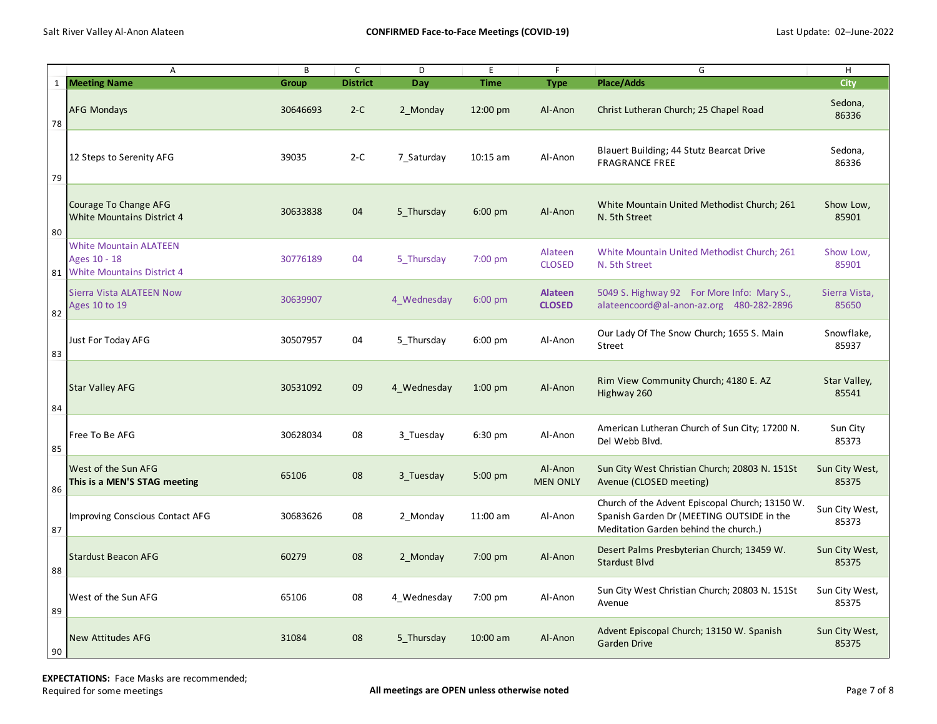|              | $\overline{A}$                                                                     | B        | $\mathsf{C}$    | D           | E           | F.                         | G                                                                                                                                     | H                       |
|--------------|------------------------------------------------------------------------------------|----------|-----------------|-------------|-------------|----------------------------|---------------------------------------------------------------------------------------------------------------------------------------|-------------------------|
| $\mathbf{1}$ | <b>Meeting Name</b>                                                                | Group    | <b>District</b> | Day         | <b>Time</b> | <b>Type</b>                | <b>Place/Adds</b>                                                                                                                     | <b>City</b>             |
| 78           | <b>AFG Mondays</b>                                                                 | 30646693 | $2-C$           | 2 Monday    | 12:00 pm    | Al-Anon                    | Christ Lutheran Church; 25 Chapel Road                                                                                                | Sedona,<br>86336        |
| 79           | 12 Steps to Serenity AFG                                                           | 39035    | $2-C$           | 7 Saturday  | $10:15$ am  | Al-Anon                    | Blauert Building; 44 Stutz Bearcat Drive<br><b>FRAGRANCE FREE</b>                                                                     | Sedona,<br>86336        |
| 80           | Courage To Change AFG<br><b>White Mountains District 4</b>                         | 30633838 | 04              | 5 Thursday  | 6:00 pm     | Al-Anon                    | White Mountain United Methodist Church; 261<br>N. 5th Street                                                                          | Show Low,<br>85901      |
| 81           | <b>White Mountain ALATEEN</b><br>Ages 10 - 18<br><b>White Mountains District 4</b> | 30776189 | 04              | 5 Thursday  | $7:00$ pm   | Alateen<br><b>CLOSED</b>   | White Mountain United Methodist Church; 261<br>N. 5th Street                                                                          | Show Low,<br>85901      |
| 82           | Sierra Vista ALATEEN Now<br>Ages 10 to 19                                          | 30639907 |                 | 4 Wednesday | $6:00$ pm   | Alateen<br><b>CLOSED</b>   | 5049 S. Highway 92 For More Info: Mary S.,<br>alateencoord@al-anon-az.org 480-282-2896                                                | Sierra Vista,<br>85650  |
| 83           | Just For Today AFG                                                                 | 30507957 | 04              | 5 Thursday  | $6:00$ pm   | Al-Anon                    | Our Lady Of The Snow Church; 1655 S. Main<br>Street                                                                                   | Snowflake,<br>85937     |
| 84           | <b>Star Valley AFG</b>                                                             | 30531092 | 09              | 4 Wednesday | $1:00$ pm   | Al-Anon                    | Rim View Community Church; 4180 E. AZ<br>Highway 260                                                                                  | Star Valley,<br>85541   |
| 85           | Free To Be AFG                                                                     | 30628034 | 08              | 3 Tuesday   | 6:30 pm     | Al-Anon                    | American Lutheran Church of Sun City; 17200 N.<br>Del Webb Blvd.                                                                      | Sun City<br>85373       |
| 86           | West of the Sun AFG<br>This is a MEN'S STAG meeting                                | 65106    | 08              | 3 Tuesday   | $5:00$ pm   | Al-Anon<br><b>MEN ONLY</b> | Sun City West Christian Church; 20803 N. 151St<br>Avenue (CLOSED meeting)                                                             | Sun City West,<br>85375 |
| 87           | Improving Conscious Contact AFG                                                    | 30683626 | 08              | 2 Monday    | 11:00 am    | Al-Anon                    | Church of the Advent Episcopal Church; 13150 W.<br>Spanish Garden Dr (MEETING OUTSIDE in the<br>Meditation Garden behind the church.) | Sun City West,<br>85373 |
| 88           | <b>Stardust Beacon AFG</b>                                                         | 60279    | 08              | 2 Monday    | $7:00$ pm   | Al-Anon                    | Desert Palms Presbyterian Church; 13459 W.<br>Stardust Blvd                                                                           | Sun City West,<br>85375 |
| 89           | West of the Sun AFG                                                                | 65106    | 08              | 4 Wednesday | 7:00 pm     | Al-Anon                    | Sun City West Christian Church; 20803 N. 151St<br>Avenue                                                                              | Sun City West,<br>85375 |
| 90           | <b>New Attitudes AFG</b>                                                           | 31084    | 08              | 5 Thursday  | 10:00 am    | Al-Anon                    | Advent Episcopal Church; 13150 W. Spanish<br><b>Garden Drive</b>                                                                      | Sun City West,<br>85375 |